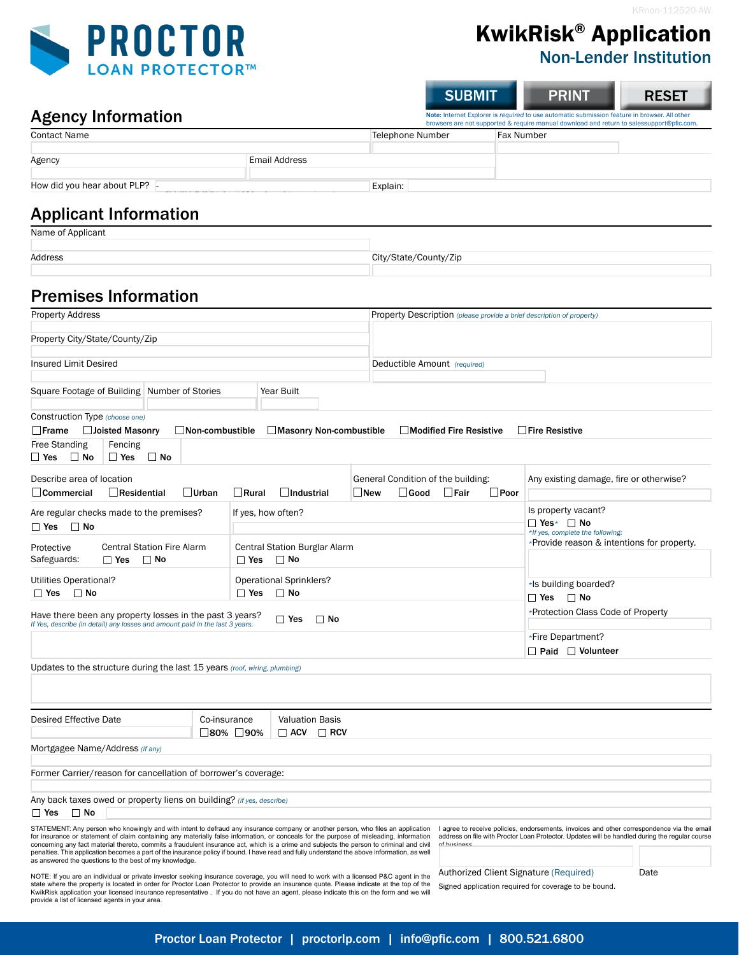**RESET** 



KwikRisk® Application

SUBMIT PRINT

## Non-Lender Institution

#### Agency Information

| <b>Agency Information</b>   |               |                  | Note: Internet Explorer is required to use automatic submission feature in browser. All other<br>browsers are not supported & require manual download and return to salessupport@pfic.com. |  |  |  |  |
|-----------------------------|---------------|------------------|--------------------------------------------------------------------------------------------------------------------------------------------------------------------------------------------|--|--|--|--|
| <b>Contact Name</b>         |               | Telephone Number | <b>Fax Number</b>                                                                                                                                                                          |  |  |  |  |
| Agency                      | Email Address |                  |                                                                                                                                                                                            |  |  |  |  |
| How did you hear about PLP? |               | Explain:         |                                                                                                                                                                                            |  |  |  |  |

# Applicant Information

| Name of Applicant |                       |
|-------------------|-----------------------|
|                   |                       |
| Address           | City/State/County/Zip |
|                   |                       |

## Premises Information

| <b>Property Address</b>                                                                                                                                                                                                                                                                                                                                                                                                                                                                                                                                                 |                                                |              | <b>Property Description</b> (please provide a brief description of property) |                                                                      |                |                                                      |                                                                                                         |                                                                                                                                                                                              |  |  |  |
|-------------------------------------------------------------------------------------------------------------------------------------------------------------------------------------------------------------------------------------------------------------------------------------------------------------------------------------------------------------------------------------------------------------------------------------------------------------------------------------------------------------------------------------------------------------------------|------------------------------------------------|--------------|------------------------------------------------------------------------------|----------------------------------------------------------------------|----------------|------------------------------------------------------|---------------------------------------------------------------------------------------------------------|----------------------------------------------------------------------------------------------------------------------------------------------------------------------------------------------|--|--|--|
| Property City/State/County/Zip                                                                                                                                                                                                                                                                                                                                                                                                                                                                                                                                          |                                                |              |                                                                              |                                                                      |                |                                                      |                                                                                                         |                                                                                                                                                                                              |  |  |  |
| <b>Insured Limit Desired</b>                                                                                                                                                                                                                                                                                                                                                                                                                                                                                                                                            |                                                |              |                                                                              | Deductible Amount (required)                                         |                |                                                      |                                                                                                         |                                                                                                                                                                                              |  |  |  |
| Square Footage of Building Number of Stories<br>Year Built                                                                                                                                                                                                                                                                                                                                                                                                                                                                                                              |                                                |              |                                                                              |                                                                      |                |                                                      |                                                                                                         |                                                                                                                                                                                              |  |  |  |
| Construction Type (choose one)<br>Joisted Masonry<br>$\Box$ Frame                                                                                                                                                                                                                                                                                                                                                                                                                                                                                                       | $\Box$ Non-combustible                         |              | $\Box$ Masonry Non-combustible                                               |                                                                      |                | $\Box$ Modified Fire Resistive                       |                                                                                                         | $\Box$ Fire Resistive                                                                                                                                                                        |  |  |  |
| <b>Free Standing</b><br>Fencing<br>∟ Yes<br>$\Box$ No<br>$\Box$ Yes                                                                                                                                                                                                                                                                                                                                                                                                                                                                                                     | $\Box$ No                                      |              |                                                                              |                                                                      |                |                                                      |                                                                                                         |                                                                                                                                                                                              |  |  |  |
| Describe area of location<br>$\Box$ Commercial<br>$\Box$ Residential                                                                                                                                                                                                                                                                                                                                                                                                                                                                                                    | $\Box$ Urban                                   | $\Box$ Rural | $\Box$ Industrial                                                            | $\Box$ New                                                           | $\square$ Good | General Condition of the building:<br>$\square$ Fair | $\square$ Poor                                                                                          | Any existing damage, fire or otherwise?                                                                                                                                                      |  |  |  |
| Are regular checks made to the premises?<br>If yes, how often?<br>$\Box$ Yes $\Box$ No                                                                                                                                                                                                                                                                                                                                                                                                                                                                                  |                                                |              |                                                                              | Is property vacant?<br>ΠYes∗ ΠNo<br>*If yes, complete the following: |                |                                                      |                                                                                                         |                                                                                                                                                                                              |  |  |  |
| Protective<br>Safeguards:<br>$\Box$ Yes                                                                                                                                                                                                                                                                                                                                                                                                                                                                                                                                 | <b>Central Station Fire Alarm</b><br>$\Box$ No | $\Box$ Yes   | Central Station Burglar Alarm<br>$\Box$ No                                   |                                                                      |                |                                                      |                                                                                                         | *Provide reason & intentions for property.                                                                                                                                                   |  |  |  |
| Utilities Operational?<br><b>Operational Sprinklers?</b><br>$\Box$ No<br>$\Box$ Yes<br>$\square$ No<br>$\Box$ Yes                                                                                                                                                                                                                                                                                                                                                                                                                                                       |                                                |              |                                                                              |                                                                      |                |                                                      |                                                                                                         | *Is building boarded?<br>ΠYes ΠNo                                                                                                                                                            |  |  |  |
| Have there been any property losses in the past 3 years?<br>$\Box$ Yes<br>$\Box$ No<br>If Yes, describe (in detail) any losses and amount paid in the last 3 years.                                                                                                                                                                                                                                                                                                                                                                                                     |                                                |              |                                                                              |                                                                      |                |                                                      | *Protection Class Code of Property                                                                      |                                                                                                                                                                                              |  |  |  |
|                                                                                                                                                                                                                                                                                                                                                                                                                                                                                                                                                                         |                                                |              |                                                                              |                                                                      |                |                                                      |                                                                                                         | *Fire Department?<br>$\Box$ Paid $\Box$ Volunteer                                                                                                                                            |  |  |  |
| Updates to the structure during the last 15 years (roof, wiring, plumbing)                                                                                                                                                                                                                                                                                                                                                                                                                                                                                              |                                                |              |                                                                              |                                                                      |                |                                                      |                                                                                                         |                                                                                                                                                                                              |  |  |  |
|                                                                                                                                                                                                                                                                                                                                                                                                                                                                                                                                                                         |                                                |              |                                                                              |                                                                      |                |                                                      |                                                                                                         |                                                                                                                                                                                              |  |  |  |
| <b>Desired Effective Date</b><br>Co-insurance<br><b>Valuation Basis</b><br>□80% □90%<br>$\Box$ ACV $\Box$ RCV                                                                                                                                                                                                                                                                                                                                                                                                                                                           |                                                |              |                                                                              |                                                                      |                |                                                      |                                                                                                         |                                                                                                                                                                                              |  |  |  |
| Mortgagee Name/Address (if any)                                                                                                                                                                                                                                                                                                                                                                                                                                                                                                                                         |                                                |              |                                                                              |                                                                      |                |                                                      |                                                                                                         |                                                                                                                                                                                              |  |  |  |
| Former Carrier/reason for cancellation of borrower's coverage:                                                                                                                                                                                                                                                                                                                                                                                                                                                                                                          |                                                |              |                                                                              |                                                                      |                |                                                      |                                                                                                         |                                                                                                                                                                                              |  |  |  |
| Any back taxes owed or property liens on building? (if yes, describe)<br>$\Box$ No<br>$\Box$ Yes                                                                                                                                                                                                                                                                                                                                                                                                                                                                        |                                                |              |                                                                              |                                                                      |                |                                                      |                                                                                                         |                                                                                                                                                                                              |  |  |  |
| STATEMENT: Any person who knowingly and with intent to defraud any insurance company or another person, who files an application<br>for insurance or statement of claim containing any materially false information, or conceals for the purpose of misleading, information<br>concerning any fact material thereto, commits a fraudulent insurance act, which is a crime and subjects the person to criminal and civil<br>penalties. This application becomes a part of the insurance policy if bound. I have read and fully understand the above information, as well |                                                |              |                                                                              |                                                                      |                | of business.                                         |                                                                                                         | I agree to receive policies, endorsements, invoices and other correspondence via the email<br>address on file with Proctor Loan Protector. Updates will be handled during the regular course |  |  |  |
| as answered the questions to the best of my knowledge.<br>NOTE: If you are an individual or private investor seeking insurance coverage, you will need to work with a licensed P&C agent in the<br>state where the property is located in order for Proctor Loan Protector to provide an insurance quote. Please indicate at the top of the<br>KwikRisk application your licensed insurance representative. If you do not have an agent, please indicate this on the form and we will<br>provide a list of licensed agents in your area.                                |                                                |              |                                                                              |                                                                      |                |                                                      | Authorized Client Signature (Required)<br>Date<br>Signed application required for coverage to be bound. |                                                                                                                                                                                              |  |  |  |